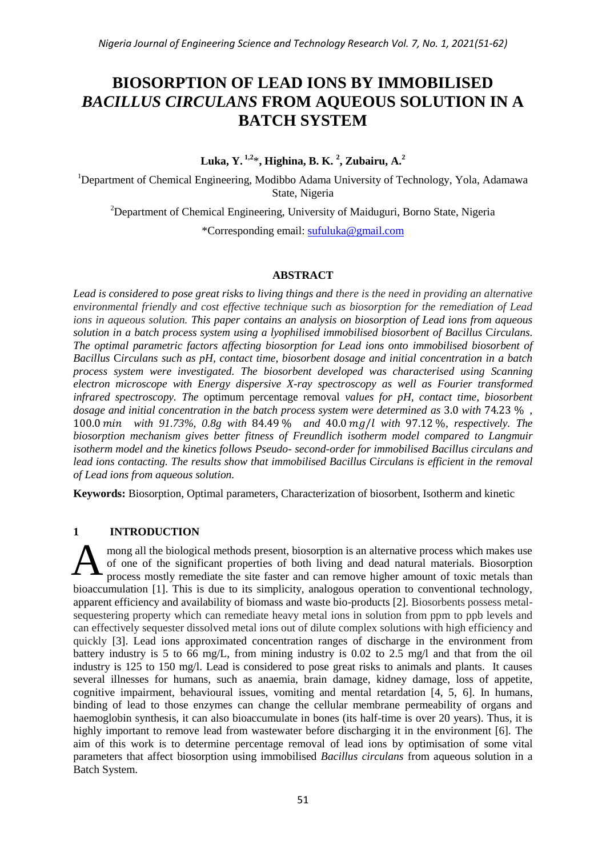# **BIOSORPTION OF LEAD IONS BY IMMOBILISED**  *BACILLUS CIRCULANS* **FROM AQUEOUS SOLUTION IN A BATCH SYSTEM**

**Luka, Y. 1,2**\***, Highina, B. K. <sup>2</sup> , Zubairu, A.<sup>2</sup>**

<sup>1</sup>Department of Chemical Engineering, Modibbo Adama University of Technology, Yola, Adamawa State, Nigeria

<sup>2</sup>Department of Chemical Engineering, University of Maiduguri, Borno State, Nigeria

\*Corresponding email: [sufuluka@gmail.com](mailto:sufuluka@gmail.com)

## **ABSTRACT**

*Lead is considered to pose great risks to living things and there is the need in providing an alternative environmental friendly and cost effective technique such as biosorption for the remediation of Lead ions in aqueous solution. This paper contains an analysis on biosorption of Lead ions from aqueous solution in a batch process system using a lyophilised immobilised biosorbent of Bacillus* C*irculans. The optimal parametric factors affecting biosorption for Lead ions onto immobilised biosorbent of Bacillus* C*irculans such as pH, contact time, biosorbent dosage and initial concentration in a batch process system were investigated. The biosorbent developed was characterised using Scanning electron microscope with Energy dispersive X-ray spectroscopy as well as Fourier transformed infrared spectroscopy. The* optimum percentage removal *values for pH, contact time, biosorbent dosage and initial concentration in the batch process system were determined as 3.0 with 74.23 %,* 100.0 min with 91.73%, 0.8g with 84.49 % and 40.0 mg/l with 97.12 %, respectively. The *biosorption mechanism gives better fitness of Freundlich isotherm model compared to Langmuir isotherm model and the kinetics follows Pseudo- second-order for immobilised Bacillus circulans and lead ions contacting. The results show that immobilised Bacillus* C*irculans is efficient in the removal of Lead ions from aqueous solution.*

**Keywords:** Biosorption, Optimal parameters, Characterization of biosorbent, Isotherm and kinetic

# **1 INTRODUCTION**

mong all the biological methods present, biosorption is an alternative process which makes use of one of the significant properties of both living and dead natural materials. Biosorption process mostly remediate the site faster and can remove higher amount of toxic metals than bioaccumulation [1]. This is due to its simplicity, analogous operation to conventional technology, apparent efficiency and availability of biomass and waste bio-products [2]. Biosorbents possess metalsequestering property which can remediate heavy metal ions in solution from ppm to ppb levels and can effectively sequester dissolved metal ions out of dilute complex solutions with high efficiency and quickly [3]. Lead ions approximated concentration ranges of discharge in the environment from battery industry is 5 to 66 mg/L, from mining industry is 0.02 to 2.5 mg/l and that from the oil industry is 125 to 150 mg/l. Lead is considered to pose great risks to animals and plants. It causes several illnesses for humans, such as anaemia, brain damage, kidney damage, loss of appetite, cognitive impairment, behavioural issues, vomiting and mental retardation [4, 5, 6]. In humans, binding of lead to those enzymes can change the cellular membrane permeability of organs and haemoglobin synthesis, it can also bioaccumulate in bones (its half-time is over 20 years). Thus, it is highly important to remove lead from wastewater before discharging it in the environment [6]. The aim of this work is to determine percentage removal of lead ions by optimisation of some vital parameters that affect biosorption using immobilised *Bacillus circulans* from aqueous solution in a Batch System. A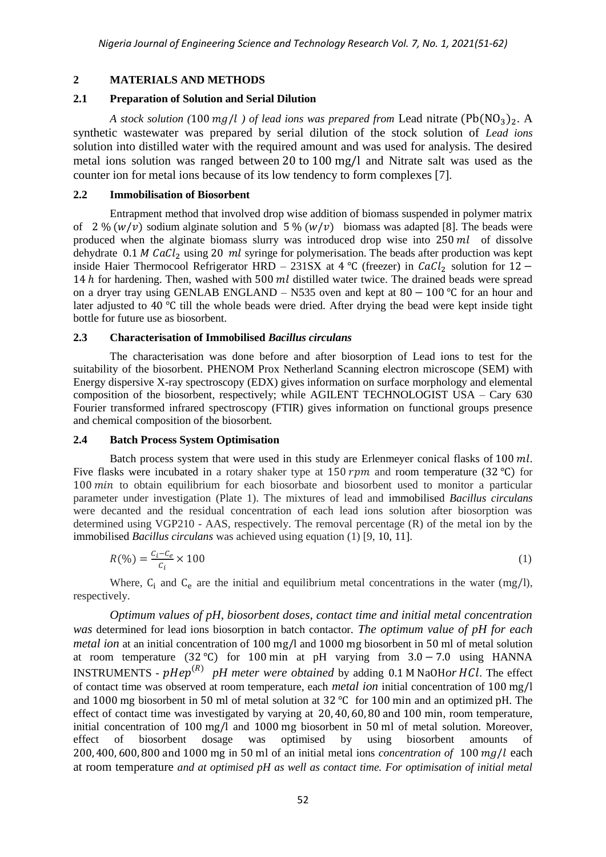# **2 MATERIALS AND METHODS**

## **2.1 Preparation of Solution and Serial Dilution**

*A stock solution* (100  $mg/l$ ) *of lead ions was prepared from Lead nitrate*  $(Pb(NO_3)_{2}$ . A synthetic wastewater was prepared by serial dilution of the stock solution of *Lead ions*  solution into distilled water with the required amount and was used for analysis. The desired metal ions solution was ranged between 20 to 100 mg/l and Nitrate salt was used as the counter ion for metal ions because of its low tendency to form complexes [7]*.*

#### **2.2 Immobilisation of Biosorbent**

Entrapment method that involved drop wise addition of biomass suspended in polymer matrix of 2 %  $(w/v)$  sodium alginate solution and 5 %  $(w/v)$  biomass was adapted [8]. The beads were produced when the alginate biomass slurry was introduced drop wise into  $250$  ml of dissolve dehydrate  $0.1 M CaCl<sub>2</sub>$  using 20 ml syringe for polymerisation. The beads after production was kept inside Haier Thermocool Refrigerator HRD – 231SX at 4 °C (freezer) in  $CaCl<sub>2</sub>$  solution for 12 – 14  $h$  for hardening. Then, washed with 500  $ml$  distilled water twice. The drained beads were spread on a dryer tray using GENLAB ENGLAND – N535 oven and kept at  $80 - 100$  °C for an hour and later adjusted to 40  $\degree$ C till the whole beads were dried. After drying the bead were kept inside tight bottle for future use as biosorbent.

## **2.3 Characterisation of Immobilised** *Bacillus circulans*

The characterisation was done before and after biosorption of Lead ions to test for the suitability of the biosorbent. PHENOM Prox Netherland Scanning electron microscope (SEM) with Energy dispersive X-ray spectroscopy (EDX) gives information on surface morphology and elemental composition of the biosorbent, respectively; while AGILENT TECHNOLOGIST USA – Cary 630 Fourier transformed infrared spectroscopy (FTIR) gives information on functional groups presence and chemical composition of the biosorbent*.*

# **2.4 Batch Process System Optimisation**

Batch process system that were used in this study are Erlenmeyer conical flasks of  $100$  ml. Five flasks were incubated in a rotary shaker type at 150 rpm and room temperature (32 °C) for  $100 \text{ min}$  to obtain equilibrium for each biosorbate and biosorbent used to monitor a particular parameter under investigation (Plate 1). The mixtures of lead and immobilised *Bacillus circulans* were decanted and the residual concentration of each lead ions solution after biosorption was determined using VGP210 - AAS, respectively. The removal percentage (R) of the metal ion by the immobilised *Bacillus circulans* was achieved using equation (1) [9, 10, 11].

$$
R(\%) = \frac{c_i - c_e}{c_i} \times 100 \tag{1}
$$

Where,  $C_i$  and  $C_e$  are the initial and equilibrium metal concentrations in the water (mg/l), respectively.

*Optimum values of pH, biosorbent doses, contact time and initial metal concentration was* determined for lead ions biosorption in batch contactor. *The optimum value of pH for each metal ion* at an initial concentration of 100 mg/l and 1000 mg biosorbent in 50 ml of metal solution at room temperature  $(32 \text{ °C})$  for 100 min at pH varying from  $3.0 - 7.0$  using HANNA INSTRUMENTS - pHep<sup>(R)</sup> pH meter were obtained by adding 0.1 M NaOHor HCl. The effect of contact time was observed at room temperature, each *metal ion* initial concentration of and 1000 mg biosorbent in 50 ml of metal solution at 32  $^{\circ}$ C for 100 min and an optimized pH. The effect of contact time was investigated by varying at  $20, 40, 60, 80$  and  $100$  min, room temperature, initial concentration of  $100 \text{ mg/l}$  and  $1000 \text{ mg}$  biosorbent in 50 ml of metal solution. Moreover, effect of biosorbent dosage was optimised by using biosorbent amounts of 200, 400, 600, 800 and 1000 mg in 50 ml of an initial metal ions *concentration of* 100 mg/l each at room temperature *and at optimised pH as well as contact time. For optimisation of initial metal*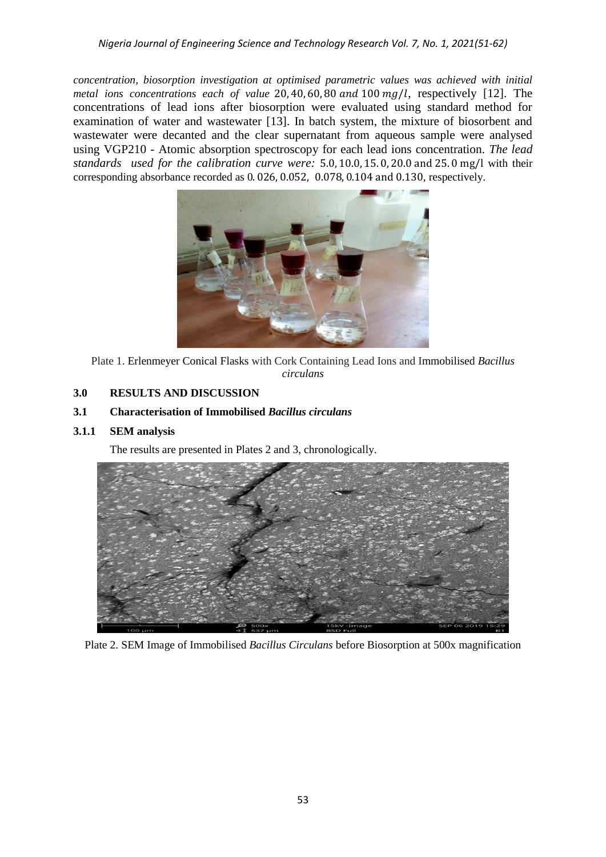*concentration, biosorption investigation at optimised parametric values was achieved with initial metal ions concentrations each of value* 20,40,60,80 and 100 mg/l, respectively [12]. The concentrations of lead ions after biosorption were evaluated using standard method for examination of water and wastewater [13]. In batch system, the mixture of biosorbent and wastewater were decanted and the clear supernatant from aqueous sample were analysed using VGP210 - Atomic absorption spectroscopy for each lead ions concentration. *The lead standards used for the calibration curve were:* 5.0, 10.0, 15.0, 20.0 and 25.0 mg/l with their corresponding absorbance recorded as  $0.026$ ,  $0.052$ ,  $0.078$ ,  $0.104$  and  $0.130$ , respectively.



Plate 1. Erlenmeyer Conical Flasks with Cork Containing Lead Ions and Immobilised *Bacillus circulans*

# **3.0 RESULTS AND DISCUSSION**

# **3.1 Characterisation of Immobilised** *Bacillus circulans*

# **3.1.1 SEM analysis**

The results are presented in Plates 2 and 3, chronologically.



Plate 2. SEM Image of Immobilised *Bacillus Circulans* before Biosorption at 500x magnification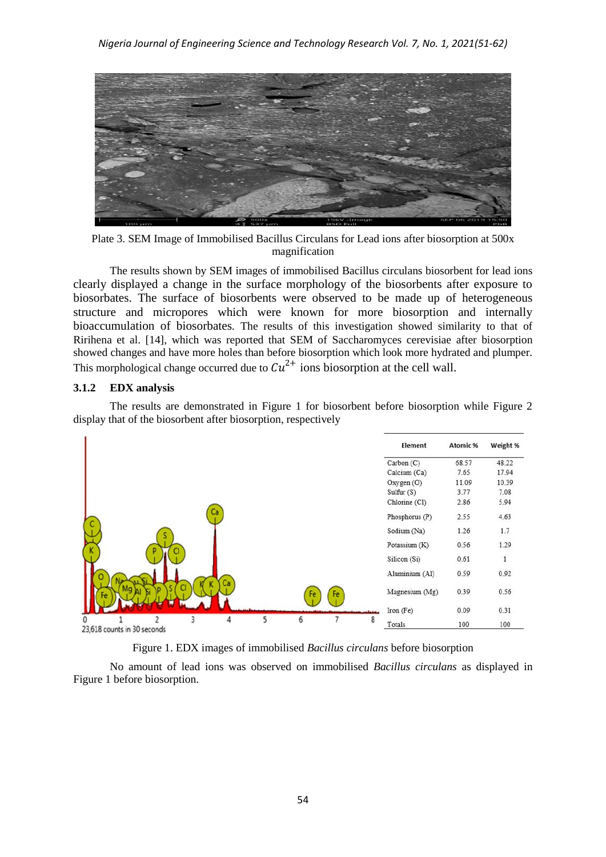

Plate 3. SEM Image of Immobilised Bacillus Circulans for Lead ions after biosorption at 500x magnification

The results shown by SEM images of immobilised Bacillus circulans biosorbent for lead ions clearly displayed a change in the surface morphology of the biosorbents after exposure to biosorbates. The surface of biosorbents were observed to be made up of heterogeneous structure and micropores which were known for more biosorption and internally bioaccumulation of biosorbates*.* The results of this investigation showed similarity to that of Ririhena et al. [14], which was reported that SEM of Saccharomyces cerevisiae after biosorption showed changes and have more holes than before biosorption which look more hydrated and plumper. This morphological change occurred due to  $Cu^{2+}$  ions biosorption at the cell wall.

#### **3.1.2 EDX analysis**

The results are demonstrated in Figure 1 for biosorbent before biosorption while Figure 2 display that of the biosorbent after biosorption, respectively



Figure 1. EDX images of immobilised *Bacillus circulans* before biosorption

No amount of lead ions was observed on immobilised *Bacillus circulans* as displayed in Figure 1 before biosorption.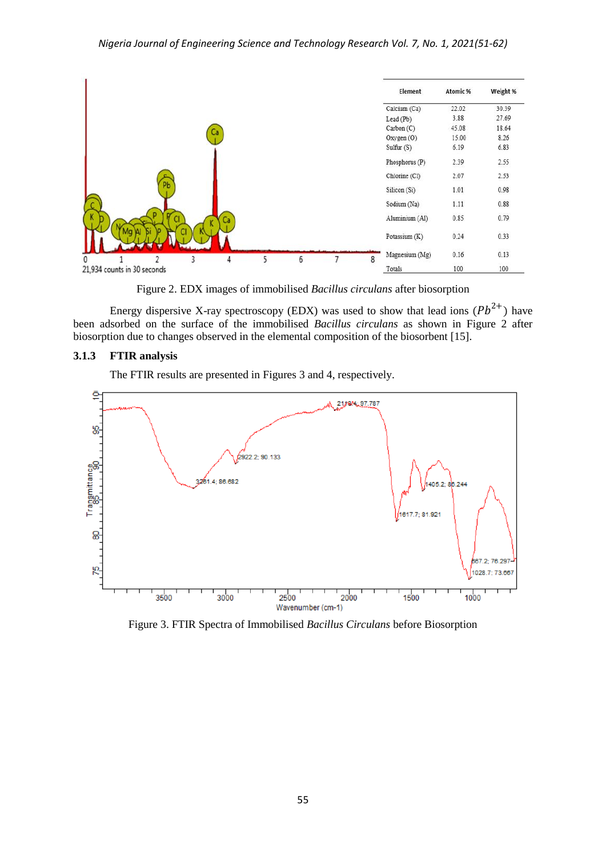

Figure 2. EDX images of immobilised *Bacillus circulans* after biosorption

Energy dispersive X-ray spectroscopy (EDX) was used to show that lead ions  $(Pb^{2+})$  have been adsorbed on the surface of the immobilised *Bacillus circulans* as shown in Figure 2 after biosorption due to changes observed in the elemental composition of the biosorbent [15].

## **3.1.3 FTIR analysis**

The FTIR results are presented in Figures 3 and 4, respectively.



Figure 3. FTIR Spectra of Immobilised *Bacillus Circulans* before Biosorption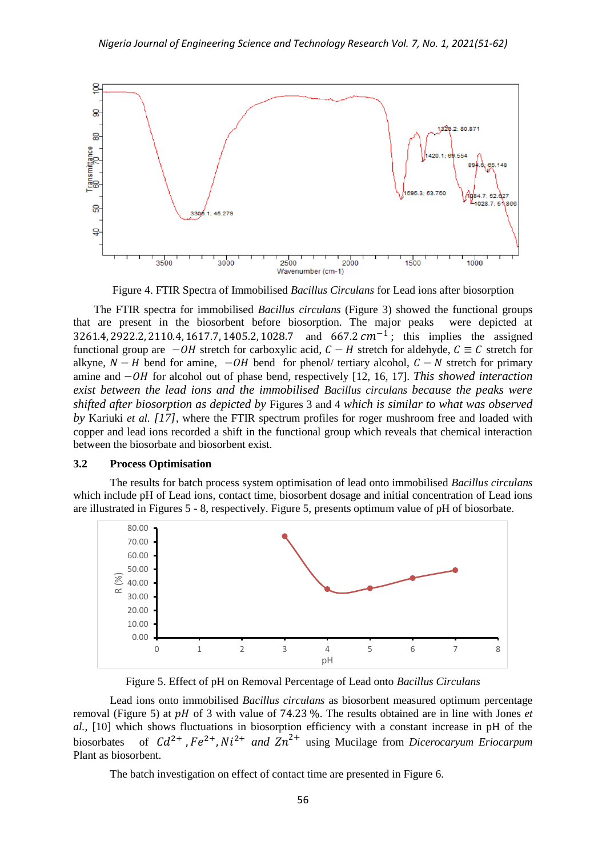

Figure 4. FTIR Spectra of Immobilised *Bacillus Circulans* for Lead ions after biosorption

The FTIR spectra for immobilised *Bacillus circulans* (Figure 3) showed the functional groups that are present in the biosorbent before biosorption. The major peaks were depicted at 3261.4, 2922.2, 2110.4, 1617.7, 1405.2, 1028.7 and 667.2  $cm^{-1}$ ; this implies the assigned functional group are  $-\theta H$  stretch for carboxylic acid,  $C - H$  stretch for aldehyde,  $C \equiv C$  stretch for alkyne,  $N-H$  bend for amine,  $-\theta H$  bend for phenol/ tertiary alcohol,  $C-N$  stretch for primary amine and  $-\theta H$  for alcohol out of phase bend, respectively [12, 16, 17]. *This showed interaction exist between the lead ions and the immobilised Bacillus circulans because the peaks were shifted after biosorption as depicted by* Figures 3 and 4 *which is similar to what was observed by* Kariuki *et al. [17]*, where the FTIR spectrum profiles for roger mushroom free and loaded with copper and lead ions recorded a shift in the functional group which reveals that chemical interaction between the biosorbate and biosorbent exist.

#### **3.2 Process Optimisation**

The results for batch process system optimisation of lead onto immobilised *Bacillus circulans*  which include pH of Lead ions, contact time, biosorbent dosage and initial concentration of Lead ions are illustrated in Figures 5 - 8, respectively. Figure 5, presents optimum value of pH of biosorbate.



Figure 5. Effect of pH on Removal Percentage of Lead onto *Bacillus Circulans*

Lead ions onto immobilised *Bacillus circulans* as biosorbent measured optimum percentage removal (Figure 5) at  $pH$  of 3 with value of 74.23 %. The results obtained are in line with Jones *et al.,* [10] which shows fluctuations in biosorption efficiency with a constant increase in pH of the biosorbates of  $Cd^{2+}$ ,  $Fe^{2+}$ ,  $Ni^{2+}$  and  $Zn^{2+}$  using Mucilage from *Dicerocaryum Eriocarpum* Plant as biosorbent.

The batch investigation on effect of contact time are presented in Figure 6.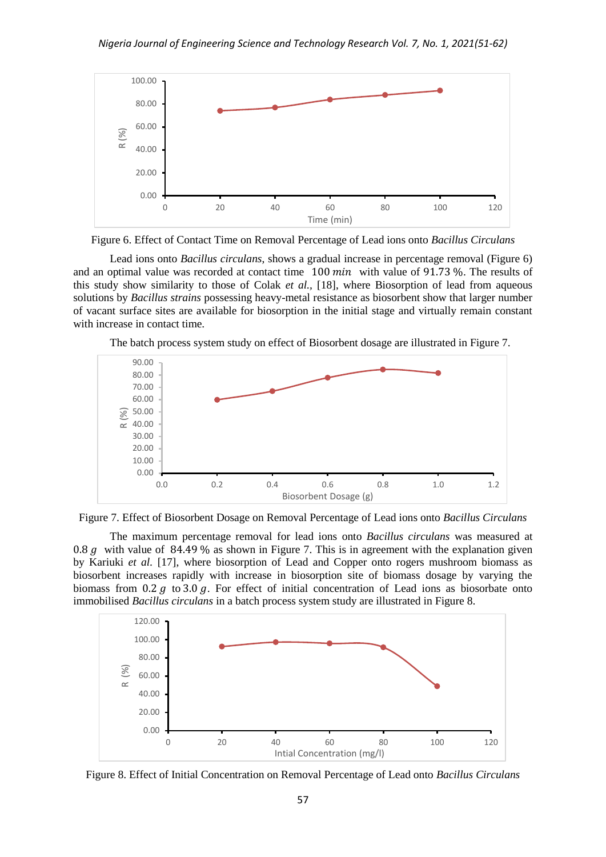

Figure 6. Effect of Contact Time on Removal Percentage of Lead ions onto *Bacillus Circulans*

Lead ions onto *Bacillus circulans*, shows a gradual increase in percentage removal (Figure 6) and an optimal value was recorded at contact time  $100 \text{ min}$  with value of 91.73%. The results of this study show similarity to those of Colak *et al.,* [18], where Biosorption of lead from aqueous solutions by *Bacillus strains* possessing heavy-metal resistance as biosorbent show that larger number of vacant surface sites are available for biosorption in the initial stage and virtually remain constant with increase in contact time.



The batch process system study on effect of Biosorbent dosage are illustrated in Figure 7.



The maximum percentage removal for lead ions onto *Bacillus circulans* was measured at 0.8 g with value of 84.49 % as shown in Figure 7. This is in agreement with the explanation given by Kariuki *et al.* [17], where biosorption of Lead and Copper onto rogers mushroom biomass as biosorbent increases rapidly with increase in biosorption site of biomass dosage by varying the biomass from 0.2  $q$  to 3.0  $q$ . For effect of initial concentration of Lead ions as biosorbate onto immobilised *Bacillus circulans* in a batch process system study are illustrated in Figure 8.



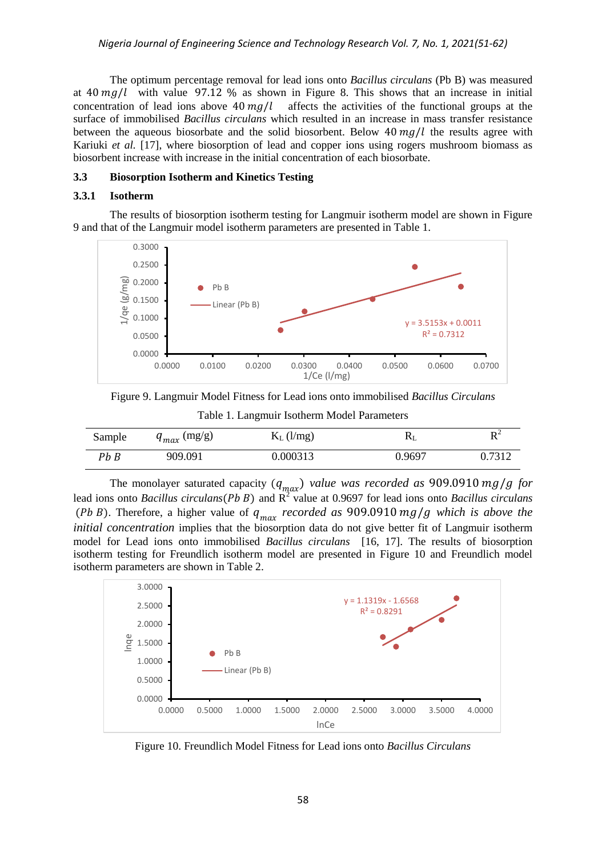The optimum percentage removal for lead ions onto *Bacillus circulans* (Pb B) was measured at 40  $mg/l$  with value 97.12 % as shown in Figure 8. This shows that an increase in initial concentration of lead ions above  $40 \frac{mg}{l}$  affects the activities of the functional groups at the surface of immobilised *Bacillus circulans* which resulted in an increase in mass transfer resistance between the aqueous biosorbate and the solid biosorbent. Below  $40 \, mg/l$  the results agree with Kariuki *et al.* [17], where biosorption of lead and copper ions using rogers mushroom biomass as biosorbent increase with increase in the initial concentration of each biosorbate.

#### **3.3 Biosorption Isotherm and Kinetics Testing**

#### **3.3.1 Isotherm**

The results of biosorption isotherm testing for Langmuir isotherm model are shown in Figure 9 and that of the Langmuir model isotherm parameters are presented in Table 1.



Figure 9. Langmuir Model Fitness for Lead ions onto immobilised *Bacillus Circulans*

| Sample | $q_{max}$ (mg/g) | $K_L$ (l/mg) | $\mathbf{r}$ | D <sup>2</sup><br>v |
|--------|------------------|--------------|--------------|---------------------|
| Pb B   | 909.091          | 0.000313     | 0.9697       | 0.7312              |

The monolayer saturated capacity  $(q_{max})$  value was recorded as 909.0910 mg/g for lead ions onto *Bacillus circulans* (Pb B) and R<sup>2</sup> value at 0.9697 for lead ions onto *Bacillus circulans* (Pb B). Therefore, a higher value of  $q_{max}$  recorded as 909.0910 mg/g which is above the *initial concentration* implies that the biosorption data do not give better fit of Langmuir isotherm model for Lead ions onto immobilised *Bacillus circulans* [16, 17]. The results of biosorption isotherm testing for Freundlich isotherm model are presented in Figure 10 and Freundlich model isotherm parameters are shown in Table 2.



Figure 10. Freundlich Model Fitness for Lead ions onto *Bacillus Circulans*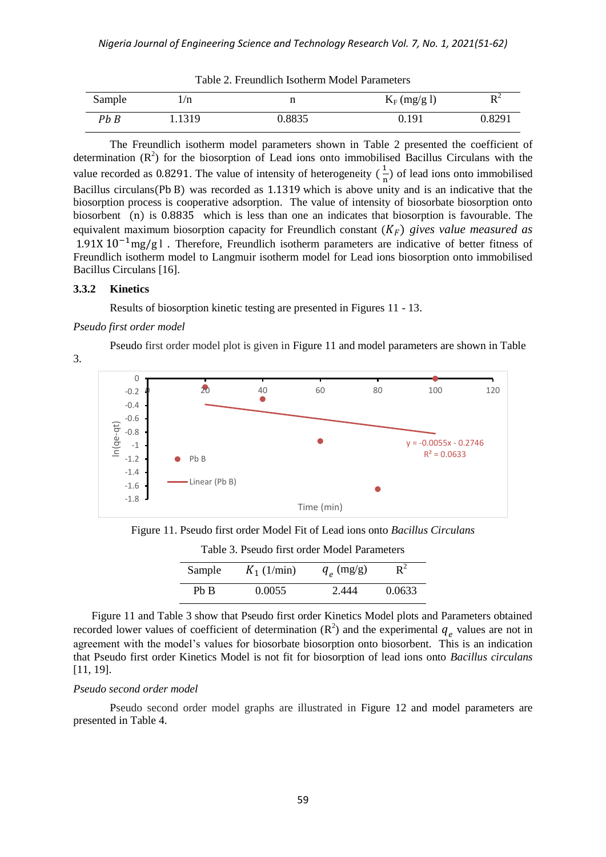| Sample | /n     |        | $K_F$ (mg/g l) | $R^2$  |
|--------|--------|--------|----------------|--------|
| Pb B   | 1.1319 | ).8835 | 0.191          | 0.8291 |

Table 2. Freundlich Isotherm Model Parameters

The Freundlich isotherm model parameters shown in Table 2 presented the coefficient of determination  $(R^2)$  for the biosorption of Lead ions onto immobilised Bacillus Circulans with the value recorded as 0.8291. The value of intensity of heterogeneity  $(\frac{1}{x})$  $\frac{1}{n}$ ) of lead ions onto immobilised Bacillus circulans (Pb B) was recorded as  $1.1319$  which is above unity and is an indicative that the biosorption process is cooperative adsorption. The value of intensity of biosorbate biosorption onto biosorbent (n) is 0.8835 which is less than one an indicates that biosorption is favourable. The equivalent maximum biosorption capacity for Freundlich constant  $(K_F)$  gives value measured as  $1.91X\,10^{-1}$ mg/g l. Therefore, Freundlich isotherm parameters are indicative of better fitness of Freundlich isotherm model to Langmuir isotherm model for Lead ions biosorption onto immobilised Bacillus Circulans [16].

#### **3.3.2 Kinetics**

3.

Results of biosorption kinetic testing are presented in Figures 11 - 13.

#### *Pseudo first order model*

Pseudo first order model plot is given in Figure 11 and model parameters are shown in Table



Figure 11. Pseudo first order Model Fit of Lead ions onto *Bacillus Circulans*

| 1 0010 01 1 00000 11100 01001 1110001 1 01011100010 |               |                   |           |
|-----------------------------------------------------|---------------|-------------------|-----------|
| Sample                                              | $K_1$ (1/min) | $q_{\rho}$ (mg/g) | $\rm R^2$ |
| Ph B                                                | 0.0055        | 2.444             | 0.0633    |

Table 3. Pseudo first order Model Parameters

Figure 11 and Table 3 show that Pseudo first order Kinetics Model plots and Parameters obtained recorded lower values of coefficient of determination  $(R^2)$  and the experimental  $q_a$  values are not in agreement with the model's values for biosorbate biosorption onto biosorbent. This is an indication that Pseudo first order Kinetics Model is not fit for biosorption of lead ions onto *Bacillus circulans*  [11, 19].

#### *Pseudo second order model*

Pseudo second order model graphs are illustrated in Figure 12 and model parameters are presented in Table 4.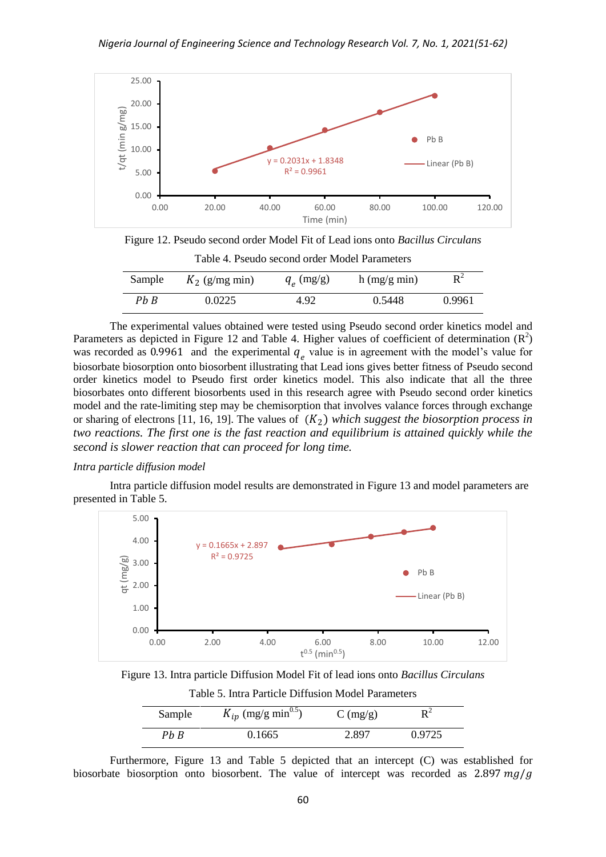

Figure 12. Pseudo second order Model Fit of Lead ions onto *Bacillus Circulans* Table 4. Pseudo second order Model Parameters

| Sample | $K_2$ (g/mg min) | $q_{\rho}$ (mg/g) | $h$ (mg/g min) | $\boldsymbol{\mathrm{R}}^2$ |
|--------|------------------|-------------------|----------------|-----------------------------|
| Pb B   | 0.0225           | 4.92              | 0.5448         | 0.9961                      |

The experimental values obtained were tested using Pseudo second order kinetics model and Parameters as depicted in Figure 12 and Table 4. Higher values of coefficient of determination  $(R^2)$ was recorded as 0.9961 and the experimental  $q_a$  value is in agreement with the model's value for biosorbate biosorption onto biosorbent illustrating that Lead ions gives better fitness of Pseudo second order kinetics model to Pseudo first order kinetics model. This also indicate that all the three biosorbates onto different biosorbents used in this research agree with Pseudo second order kinetics model and the rate-limiting step may be chemisorption that involves valance forces through exchange or sharing of electrons [11, 16, 19]. The values of  $(K_2)$  which suggest the biosorption process in *two reactions. The first one is the fast reaction and equilibrium is attained quickly while the second is slower reaction that can proceed for long time.*

#### *Intra particle diffusion model*

Intra particle diffusion model results are demonstrated in Figure 13 and model parameters are presented in Table 5.



Figure 13. Intra particle Diffusion Model Fit of lead ions onto *Bacillus Circulans*

Table 5. Intra Particle Diffusion Model Parameters

| Sample | $K_{ip}$ (mg/g min <sup>0.5</sup> ) | $C \left( \frac{mg}{g} \right)$ |        |  |
|--------|-------------------------------------|---------------------------------|--------|--|
| Ph B   | 0.1665                              | 2.897                           | 0.9725 |  |

Furthermore, Figure 13 and Table 5 depicted that an intercept (C) was established for biosorbate biosorption onto biosorbent. The value of intercept was recorded as  $2.897 \frac{mg}{g}$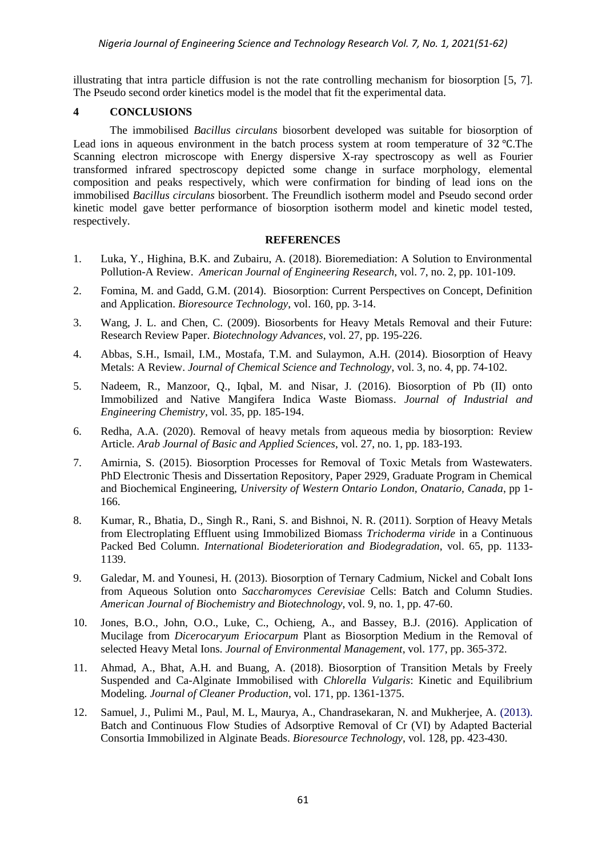illustrating that intra particle diffusion is not the rate controlling mechanism for biosorption [5, 7]. The Pseudo second order kinetics model is the model that fit the experimental data.

## **4 CONCLUSIONS**

The immobilised *Bacillus circulans* biosorbent developed was suitable for biosorption of Lead ions in aqueous environment in the batch process system at room temperature of  $32^{\circ}$ C. The Scanning electron microscope with Energy dispersive X-ray spectroscopy as well as Fourier transformed infrared spectroscopy depicted some change in surface morphology, elemental composition and peaks respectively, which were confirmation for binding of lead ions on the immobilised *Bacillus circulans* biosorbent. The Freundlich isotherm model and Pseudo second order kinetic model gave better performance of biosorption isotherm model and kinetic model tested, respectively.

## **REFERENCES**

- 1. Luka, Y., Highina, B.K. and Zubairu, A. (2018). Bioremediation: A Solution to Environmental Pollution-A Review. *American Journal of Engineering Research*, vol. 7, no. 2, pp. 101-109.
- 2. Fomina, M. and Gadd, G.M. (2014). Biosorption: Current Perspectives on Concept, Definition and Application. *Bioresource Technology*, vol. 160, pp. 3-14.
- 3. Wang, J. L. and Chen, C. (2009). Biosorbents for Heavy Metals Removal and their Future: Research Review Paper. *Biotechnology Advances*, vol. 27, pp. 195-226.
- 4. Abbas, S.H., Ismail, I.M., Mostafa, T.M. and Sulaymon, A.H. (2014). Biosorption of Heavy Metals: A Review. *Journal of Chemical Science and Technology*, vol. 3, no. 4, pp. 74-102.
- 5. Nadeem, R., Manzoor, Q., Iqbal, M. and Nisar, J. (2016). Biosorption of Pb (II) onto Immobilized and Native Mangifera Indica Waste Biomass. *Journal of Industrial and Engineering Chemistry*, vol. 35, pp. 185-194.
- 6. Redha, A.A. (2020). Removal of heavy metals from aqueous media by biosorption: Review Article. *Arab Journal of Basic and Applied Sciences*, vol. 27, no. 1, pp. 183-193.
- 7. Amirnia, S. (2015). Biosorption Processes for Removal of Toxic Metals from Wastewaters. PhD Electronic Thesis and Dissertation Repository, Paper 2929, Graduate Program in Chemical and Biochemical Engineering, *University of Western Ontario London, Onatario, Canada*, pp 1- 166.
- 8. Kumar, R., Bhatia, D., Singh R., Rani, S. and Bishnoi, N. R. (2011). Sorption of Heavy Metals from Electroplating Effluent using Immobilized Biomass *Trichoderma viride* in a Continuous Packed Bed Column. *International Biodeterioration and Biodegradation*, vol. 65, pp. 1133- 1139.
- 9. Galedar, M. and Younesi, H. (2013). Biosorption of Ternary Cadmium, Nickel and Cobalt Ions from Aqueous Solution onto *Saccharomyces Cerevisiae* Cells: Batch and Column Studies. *American Journal of Biochemistry and Biotechnology*, vol. 9, no. 1, pp. 47-60.
- 10. Jones, B.O., John, O.O., Luke, C., Ochieng, A., and Bassey, B.J. (2016). Application of Mucilage from *Dicerocaryum Eriocarpum* Plant as Biosorption Medium in the Removal of selected Heavy Metal Ions. *Journal of Environmental Management*, vol. 177, pp. 365-372.
- 11. Ahmad, A., Bhat, A.H. and Buang, A. (2018). Biosorption of Transition Metals by Freely Suspended and Ca-Alginate Immobilised with *Chlorella Vulgaris*: Kinetic and Equilibrium Modeling. *Journal of Cleaner Production*, vol. 171, pp. 1361-1375.
- 12. Samuel, J., Pulimi M., Paul, M. L, Maurya, A., Chandrasekaran, N. and Mukherjee, A. (2013). Batch and Continuous Flow Studies of Adsorptive Removal of Cr (VI) by Adapted Bacterial Consortia Immobilized in Alginate Beads. *Bioresource Technology*, vol. 128, pp. 423-430.